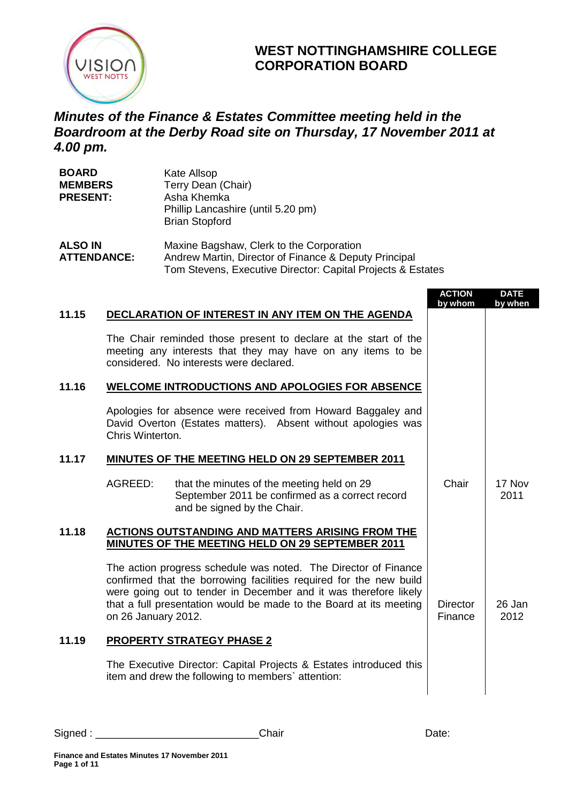

# **WEST NOTTINGHAMSHIRE COLLEGE CORPORATION BOARD**

# *Minutes of the Finance & Estates Committee meeting held in the Boardroom at the Derby Road site on Thursday, 17 November 2011 at 4.00 pm.*

| <b>BOARD</b><br><b>MEMBERS</b><br><b>PRESENT:</b> | Kate Allsop<br>Terry Dean (Chair)<br>Asha Khemka<br>Phillip Lancashire (until 5.20 pm)<br><b>Brian Stopford</b>                                                  |
|---------------------------------------------------|------------------------------------------------------------------------------------------------------------------------------------------------------------------|
| <b>ALSO IN</b><br><b>ATTENDANCE:</b>              | Maxine Bagshaw, Clerk to the Corporation<br>Andrew Martin, Director of Finance & Deputy Principal<br>Tom Stevens, Executive Director: Capital Projects & Estates |

|       |                     |                                                                                                                                                                                                                                                                                 | <b>ACTION</b><br>by whom   | <b>DATE</b><br>by when |
|-------|---------------------|---------------------------------------------------------------------------------------------------------------------------------------------------------------------------------------------------------------------------------------------------------------------------------|----------------------------|------------------------|
| 11.15 |                     | DECLARATION OF INTEREST IN ANY ITEM ON THE AGENDA                                                                                                                                                                                                                               |                            |                        |
|       |                     | The Chair reminded those present to declare at the start of the<br>meeting any interests that they may have on any items to be<br>considered. No interests were declared.                                                                                                       |                            |                        |
| 11.16 |                     | <b>WELCOME INTRODUCTIONS AND APOLOGIES FOR ABSENCE</b>                                                                                                                                                                                                                          |                            |                        |
|       | Chris Winterton.    | Apologies for absence were received from Howard Baggaley and<br>David Overton (Estates matters). Absent without apologies was                                                                                                                                                   |                            |                        |
| 11.17 |                     | MINUTES OF THE MEETING HELD ON 29 SEPTEMBER 2011                                                                                                                                                                                                                                |                            |                        |
|       | AGREED:             | that the minutes of the meeting held on 29<br>September 2011 be confirmed as a correct record<br>and be signed by the Chair.                                                                                                                                                    | Chair                      | 17 Nov<br>2011         |
| 11.18 |                     | <b>ACTIONS OUTSTANDING AND MATTERS ARISING FROM THE</b><br>MINUTES OF THE MEETING HELD ON 29 SEPTEMBER 2011                                                                                                                                                                     |                            |                        |
|       | on 26 January 2012. | The action progress schedule was noted. The Director of Finance<br>confirmed that the borrowing facilities required for the new build<br>were going out to tender in December and it was therefore likely<br>that a full presentation would be made to the Board at its meeting | <b>Director</b><br>Finance | 26 Jan<br>2012         |
| 11.19 |                     | <b>PROPERTY STRATEGY PHASE 2</b>                                                                                                                                                                                                                                                |                            |                        |
|       |                     | The Executive Director: Capital Projects & Estates introduced this<br>item and drew the following to members' attention:                                                                                                                                                        |                            |                        |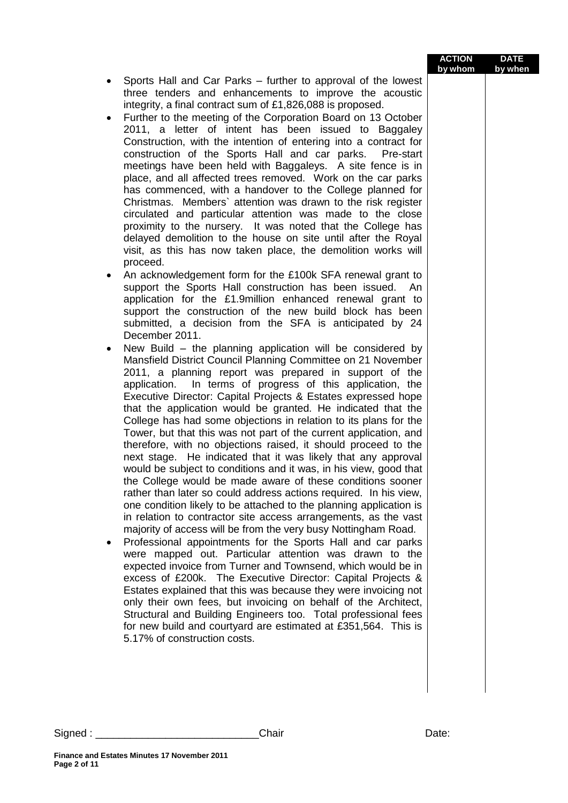|                                                                                                                                       | by whom | by when |
|---------------------------------------------------------------------------------------------------------------------------------------|---------|---------|
| Sports Hall and Car Parks – further to approval of the lowest<br>three tenders and enhancements to improve the acoustic               |         |         |
| integrity, a final contract sum of £1,826,088 is proposed.                                                                            |         |         |
| Further to the meeting of the Corporation Board on 13 October                                                                         |         |         |
| 2011, a letter of intent has been issued to Baggaley                                                                                  |         |         |
| Construction, with the intention of entering into a contract for<br>construction of the Sports Hall and car parks.<br>Pre-start       |         |         |
| meetings have been held with Baggaleys. A site fence is in                                                                            |         |         |
| place, and all affected trees removed. Work on the car parks                                                                          |         |         |
| has commenced, with a handover to the College planned for                                                                             |         |         |
| Christmas. Members' attention was drawn to the risk register<br>circulated and particular attention was made to the close             |         |         |
| proximity to the nursery. It was noted that the College has                                                                           |         |         |
| delayed demolition to the house on site until after the Royal                                                                         |         |         |
| visit, as this has now taken place, the demolition works will                                                                         |         |         |
| proceed.<br>An acknowledgement form for the £100k SFA renewal grant to                                                                |         |         |
| support the Sports Hall construction has been issued. An                                                                              |         |         |
| application for the £1.9million enhanced renewal grant to                                                                             |         |         |
| support the construction of the new build block has been<br>submitted, a decision from the SFA is anticipated by 24                   |         |         |
| December 2011.                                                                                                                        |         |         |
| New Build – the planning application will be considered by<br>٠                                                                       |         |         |
| Mansfield District Council Planning Committee on 21 November<br>2011, a planning report was prepared in support of the                |         |         |
| In terms of progress of this application, the<br>application.                                                                         |         |         |
| Executive Director: Capital Projects & Estates expressed hope                                                                         |         |         |
| that the application would be granted. He indicated that the                                                                          |         |         |
| College has had some objections in relation to its plans for the<br>Tower, but that this was not part of the current application, and |         |         |
| therefore, with no objections raised, it should proceed to the                                                                        |         |         |
| next stage. He indicated that it was likely that any approval                                                                         |         |         |
| would be subject to conditions and it was, in his view, good that<br>the College would be made aware of these conditions sooner       |         |         |
| rather than later so could address actions required. In his view,                                                                     |         |         |
| one condition likely to be attached to the planning application is                                                                    |         |         |
| in relation to contractor site access arrangements, as the vast                                                                       |         |         |
| majority of access will be from the very busy Nottingham Road.<br>Professional appointments for the Sports Hall and car parks         |         |         |
| were mapped out. Particular attention was drawn to the                                                                                |         |         |
| expected invoice from Turner and Townsend, which would be in                                                                          |         |         |
| excess of £200k. The Executive Director: Capital Projects &<br>Estates explained that this was because they were invoicing not        |         |         |
| only their own fees, but invoicing on behalf of the Architect,                                                                        |         |         |
| Structural and Building Engineers too. Total professional fees                                                                        |         |         |
| for new build and courtyard are estimated at £351,564. This is                                                                        |         |         |
| 5.17% of construction costs.                                                                                                          |         |         |
|                                                                                                                                       |         |         |
|                                                                                                                                       |         |         |
|                                                                                                                                       |         |         |

**ACTION**

**DATE**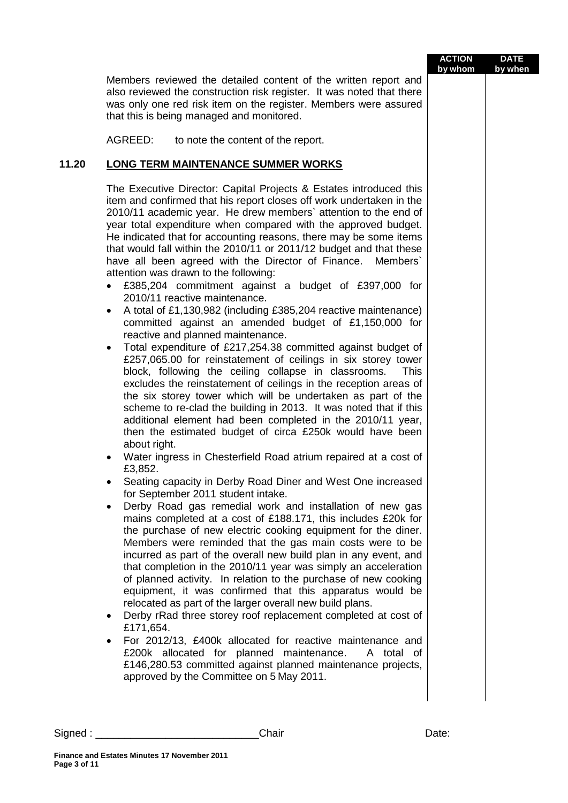|                   |                                                                                                                                                                                                                                                                                                                                                                                                                                                                                                                                                                                                                                                                                                                                                                                                                                                                                                                                                                                                                                                                                                                                                                                                                                                                                                                                                                                                                                                                                                                                                                                                                                                                                                                                                                                                                                                                                                                                                                                                                                                                                                                                                                                                                                                                                                                                                                                                                                                                                                               | <b>ACTION</b><br>by whom | <b>DATE</b><br>by when |
|-------------------|---------------------------------------------------------------------------------------------------------------------------------------------------------------------------------------------------------------------------------------------------------------------------------------------------------------------------------------------------------------------------------------------------------------------------------------------------------------------------------------------------------------------------------------------------------------------------------------------------------------------------------------------------------------------------------------------------------------------------------------------------------------------------------------------------------------------------------------------------------------------------------------------------------------------------------------------------------------------------------------------------------------------------------------------------------------------------------------------------------------------------------------------------------------------------------------------------------------------------------------------------------------------------------------------------------------------------------------------------------------------------------------------------------------------------------------------------------------------------------------------------------------------------------------------------------------------------------------------------------------------------------------------------------------------------------------------------------------------------------------------------------------------------------------------------------------------------------------------------------------------------------------------------------------------------------------------------------------------------------------------------------------------------------------------------------------------------------------------------------------------------------------------------------------------------------------------------------------------------------------------------------------------------------------------------------------------------------------------------------------------------------------------------------------------------------------------------------------------------------------------------------------|--------------------------|------------------------|
|                   | Members reviewed the detailed content of the written report and<br>also reviewed the construction risk register. It was noted that there<br>was only one red risk item on the register. Members were assured<br>that this is being managed and monitored.                                                                                                                                                                                                                                                                                                                                                                                                                                                                                                                                                                                                                                                                                                                                                                                                                                                                                                                                                                                                                                                                                                                                                                                                                                                                                                                                                                                                                                                                                                                                                                                                                                                                                                                                                                                                                                                                                                                                                                                                                                                                                                                                                                                                                                                     |                          |                        |
|                   | AGREED:<br>to note the content of the report.                                                                                                                                                                                                                                                                                                                                                                                                                                                                                                                                                                                                                                                                                                                                                                                                                                                                                                                                                                                                                                                                                                                                                                                                                                                                                                                                                                                                                                                                                                                                                                                                                                                                                                                                                                                                                                                                                                                                                                                                                                                                                                                                                                                                                                                                                                                                                                                                                                                                 |                          |                        |
| 11.20             | <b>LONG TERM MAINTENANCE SUMMER WORKS</b>                                                                                                                                                                                                                                                                                                                                                                                                                                                                                                                                                                                                                                                                                                                                                                                                                                                                                                                                                                                                                                                                                                                                                                                                                                                                                                                                                                                                                                                                                                                                                                                                                                                                                                                                                                                                                                                                                                                                                                                                                                                                                                                                                                                                                                                                                                                                                                                                                                                                     |                          |                        |
|                   | The Executive Director: Capital Projects & Estates introduced this<br>item and confirmed that his report closes off work undertaken in the<br>2010/11 academic year. He drew members' attention to the end of<br>year total expenditure when compared with the approved budget.<br>He indicated that for accounting reasons, there may be some items<br>that would fall within the 2010/11 or 2011/12 budget and that these<br>have all been agreed with the Director of Finance.<br>Members`<br>attention was drawn to the following:<br>£385,204 commitment against a budget of £397,000 for<br>2010/11 reactive maintenance.<br>A total of £1,130,982 (including £385,204 reactive maintenance)<br>$\bullet$<br>committed against an amended budget of £1,150,000 for<br>reactive and planned maintenance.<br>Total expenditure of £217,254.38 committed against budget of<br>$\bullet$<br>£257,065.00 for reinstatement of ceilings in six storey tower<br>block, following the ceiling collapse in classrooms.<br><b>This</b><br>excludes the reinstatement of ceilings in the reception areas of<br>the six storey tower which will be undertaken as part of the<br>scheme to re-clad the building in 2013. It was noted that if this<br>additional element had been completed in the 2010/11 year,<br>then the estimated budget of circa £250k would have been<br>about right.<br>Water ingress in Chesterfield Road atrium repaired at a cost of<br>£3,852.<br>Seating capacity in Derby Road Diner and West One increased<br>for September 2011 student intake.<br>Derby Road gas remedial work and installation of new gas<br>$\bullet$<br>mains completed at a cost of £188.171, this includes £20k for<br>the purchase of new electric cooking equipment for the diner.<br>Members were reminded that the gas main costs were to be<br>incurred as part of the overall new build plan in any event, and<br>that completion in the 2010/11 year was simply an acceleration<br>of planned activity. In relation to the purchase of new cooking<br>equipment, it was confirmed that this apparatus would be<br>relocated as part of the larger overall new build plans.<br>Derby rRad three storey roof replacement completed at cost of<br>$\bullet$<br>£171,654.<br>For 2012/13, £400k allocated for reactive maintenance and<br>£200k allocated for planned maintenance.<br>A total of<br>£146,280.53 committed against planned maintenance projects,<br>approved by the Committee on 5 May 2011. |                          |                        |
| Signed : <u>.</u> | Chair                                                                                                                                                                                                                                                                                                                                                                                                                                                                                                                                                                                                                                                                                                                                                                                                                                                                                                                                                                                                                                                                                                                                                                                                                                                                                                                                                                                                                                                                                                                                                                                                                                                                                                                                                                                                                                                                                                                                                                                                                                                                                                                                                                                                                                                                                                                                                                                                                                                                                                         | Date:                    |                        |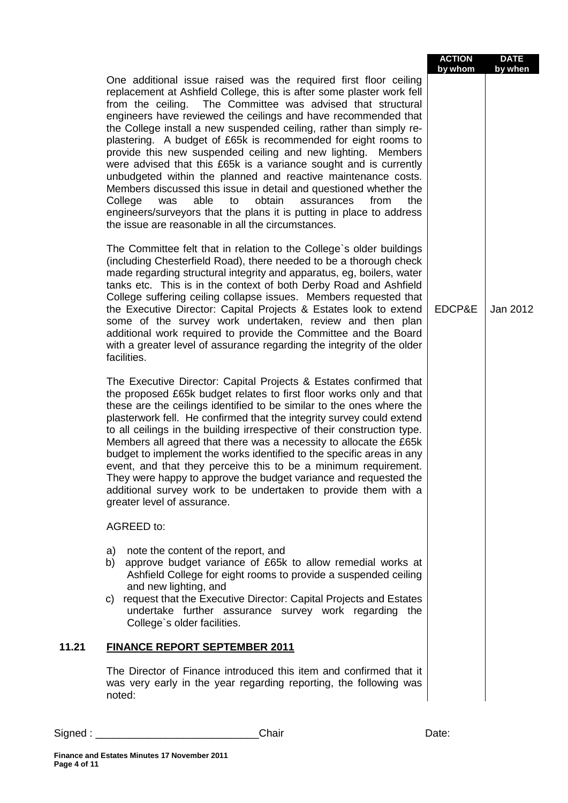|                                   |                                                                                                                                                                                                                                                                                                                                                                                                                                                                                                                                                                                                                                                                                                                                                                                                                                                                                                                                                                                                                                                                                                                                                                                                                                                                                                                                                                                                          | <b>ACTION</b><br>by whom | <b>DATE</b><br>by when |
|-----------------------------------|----------------------------------------------------------------------------------------------------------------------------------------------------------------------------------------------------------------------------------------------------------------------------------------------------------------------------------------------------------------------------------------------------------------------------------------------------------------------------------------------------------------------------------------------------------------------------------------------------------------------------------------------------------------------------------------------------------------------------------------------------------------------------------------------------------------------------------------------------------------------------------------------------------------------------------------------------------------------------------------------------------------------------------------------------------------------------------------------------------------------------------------------------------------------------------------------------------------------------------------------------------------------------------------------------------------------------------------------------------------------------------------------------------|--------------------------|------------------------|
|                                   | One additional issue raised was the required first floor ceiling<br>replacement at Ashfield College, this is after some plaster work fell<br>The Committee was advised that structural<br>from the ceiling.<br>engineers have reviewed the ceilings and have recommended that<br>the College install a new suspended ceiling, rather than simply re-<br>plastering. A budget of £65k is recommended for eight rooms to<br>provide this new suspended ceiling and new lighting. Members<br>were advised that this £65k is a variance sought and is currently<br>unbudgeted within the planned and reactive maintenance costs.<br>Members discussed this issue in detail and questioned whether the<br>able<br>obtain<br>College<br>was<br>to<br>assurances<br>from<br>the<br>engineers/surveyors that the plans it is putting in place to address<br>the issue are reasonable in all the circumstances.<br>The Committee felt that in relation to the College's older buildings<br>(including Chesterfield Road), there needed to be a thorough check<br>made regarding structural integrity and apparatus, eg, boilers, water<br>tanks etc. This is in the context of both Derby Road and Ashfield<br>College suffering ceiling collapse issues. Members requested that<br>the Executive Director: Capital Projects & Estates look to extend<br>some of the survey work undertaken, review and then plan | EDCP&E                   | Jan 2012               |
|                                   | additional work required to provide the Committee and the Board<br>with a greater level of assurance regarding the integrity of the older<br>facilities.                                                                                                                                                                                                                                                                                                                                                                                                                                                                                                                                                                                                                                                                                                                                                                                                                                                                                                                                                                                                                                                                                                                                                                                                                                                 |                          |                        |
|                                   | The Executive Director: Capital Projects & Estates confirmed that<br>the proposed £65k budget relates to first floor works only and that<br>these are the ceilings identified to be similar to the ones where the<br>plasterwork fell. He confirmed that the integrity survey could extend<br>to all ceilings in the building irrespective of their construction type.<br>Members all agreed that there was a necessity to allocate the £65k<br>budget to implement the works identified to the specific areas in any<br>event, and that they perceive this to be a minimum requirement.<br>They were happy to approve the budget variance and requested the<br>additional survey work to be undertaken to provide them with a<br>greater level of assurance.                                                                                                                                                                                                                                                                                                                                                                                                                                                                                                                                                                                                                                            |                          |                        |
|                                   | AGREED to:                                                                                                                                                                                                                                                                                                                                                                                                                                                                                                                                                                                                                                                                                                                                                                                                                                                                                                                                                                                                                                                                                                                                                                                                                                                                                                                                                                                               |                          |                        |
|                                   | a) note the content of the report, and<br>approve budget variance of £65k to allow remedial works at<br>b)<br>Ashfield College for eight rooms to provide a suspended ceiling<br>and new lighting, and<br>c) request that the Executive Director: Capital Projects and Estates<br>undertake further assurance survey work regarding the<br>College's older facilities.                                                                                                                                                                                                                                                                                                                                                                                                                                                                                                                                                                                                                                                                                                                                                                                                                                                                                                                                                                                                                                   |                          |                        |
| 11.21                             | <b>FINANCE REPORT SEPTEMBER 2011</b>                                                                                                                                                                                                                                                                                                                                                                                                                                                                                                                                                                                                                                                                                                                                                                                                                                                                                                                                                                                                                                                                                                                                                                                                                                                                                                                                                                     |                          |                        |
|                                   | The Director of Finance introduced this item and confirmed that it<br>was very early in the year regarding reporting, the following was<br>noted:                                                                                                                                                                                                                                                                                                                                                                                                                                                                                                                                                                                                                                                                                                                                                                                                                                                                                                                                                                                                                                                                                                                                                                                                                                                        |                          |                        |
| Signed : $\overline{\phantom{a}}$ | Chair                                                                                                                                                                                                                                                                                                                                                                                                                                                                                                                                                                                                                                                                                                                                                                                                                                                                                                                                                                                                                                                                                                                                                                                                                                                                                                                                                                                                    | Date:                    |                        |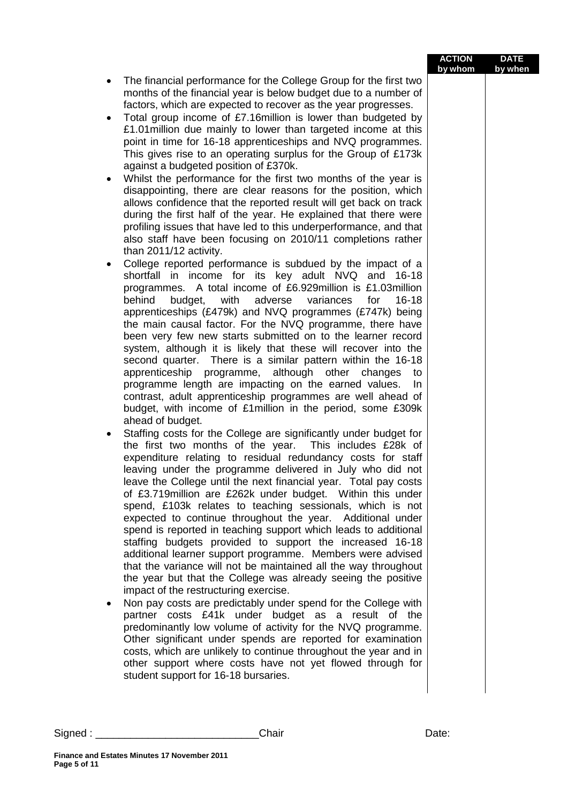|        |                                                                                                                                                                                                                                                                                                                                                                                                                                                                                                                                                                                                                                                                                                                                                                                                                                                                                                                                                                                                                                                                                                                                                                                                                                                                                                                                                     | <b>ACTION</b><br>by whom | <b>DATE</b><br>by when |
|--------|-----------------------------------------------------------------------------------------------------------------------------------------------------------------------------------------------------------------------------------------------------------------------------------------------------------------------------------------------------------------------------------------------------------------------------------------------------------------------------------------------------------------------------------------------------------------------------------------------------------------------------------------------------------------------------------------------------------------------------------------------------------------------------------------------------------------------------------------------------------------------------------------------------------------------------------------------------------------------------------------------------------------------------------------------------------------------------------------------------------------------------------------------------------------------------------------------------------------------------------------------------------------------------------------------------------------------------------------------------|--------------------------|------------------------|
|        | The financial performance for the College Group for the first two<br>months of the financial year is below budget due to a number of<br>factors, which are expected to recover as the year progresses.<br>Total group income of £7.16million is lower than budgeted by<br>£1.01 million due mainly to lower than targeted income at this<br>point in time for 16-18 apprenticeships and NVQ programmes.<br>This gives rise to an operating surplus for the Group of £173k<br>against a budgeted position of £370k.                                                                                                                                                                                                                                                                                                                                                                                                                                                                                                                                                                                                                                                                                                                                                                                                                                  |                          |                        |
|        | Whilst the performance for the first two months of the year is<br>$\bullet$<br>disappointing, there are clear reasons for the position, which<br>allows confidence that the reported result will get back on track<br>during the first half of the year. He explained that there were<br>profiling issues that have led to this underperformance, and that<br>also staff have been focusing on 2010/11 completions rather<br>than 2011/12 activity.                                                                                                                                                                                                                                                                                                                                                                                                                                                                                                                                                                                                                                                                                                                                                                                                                                                                                                 |                          |                        |
|        | College reported performance is subdued by the impact of a<br>٠<br>shortfall in income for its key adult NVQ and 16-18<br>programmes. A total income of £6.929 million is £1.03 million<br>behind<br>budget, with adverse variances<br>for<br>$16 - 18$<br>apprenticeships (£479k) and NVQ programmes (£747k) being<br>the main causal factor. For the NVQ programme, there have<br>been very few new starts submitted on to the learner record<br>system, although it is likely that these will recover into the<br>second quarter. There is a similar pattern within the 16-18<br>apprenticeship programme, although other changes<br>to<br>programme length are impacting on the earned values.<br>In.<br>contrast, adult apprenticeship programmes are well ahead of<br>budget, with income of £1million in the period, some £309k                                                                                                                                                                                                                                                                                                                                                                                                                                                                                                              |                          |                        |
|        | ahead of budget.<br>Staffing costs for the College are significantly under budget for<br>the first two months of the year. This includes £28k of<br>expenditure relating to residual redundancy costs for staff<br>leaving under the programme delivered in July who did not<br>leave the College until the next financial year. Total pay costs<br>of £3.719 million are £262k under budget. Within this under<br>spend, £103k relates to teaching sessionals, which is not<br>expected to continue throughout the year. Additional under<br>spend is reported in teaching support which leads to additional<br>staffing budgets provided to support the increased 16-18<br>additional learner support programme. Members were advised<br>that the variance will not be maintained all the way throughout<br>the year but that the College was already seeing the positive<br>impact of the restructuring exercise.<br>Non pay costs are predictably under spend for the College with<br>partner costs £41k under budget as a result of the<br>predominantly low volume of activity for the NVQ programme.<br>Other significant under spends are reported for examination<br>costs, which are unlikely to continue throughout the year and in<br>other support where costs have not yet flowed through for<br>student support for 16-18 bursaries. |                          |                        |
| Sigma: | Chair                                                                                                                                                                                                                                                                                                                                                                                                                                                                                                                                                                                                                                                                                                                                                                                                                                                                                                                                                                                                                                                                                                                                                                                                                                                                                                                                               | Date:                    |                        |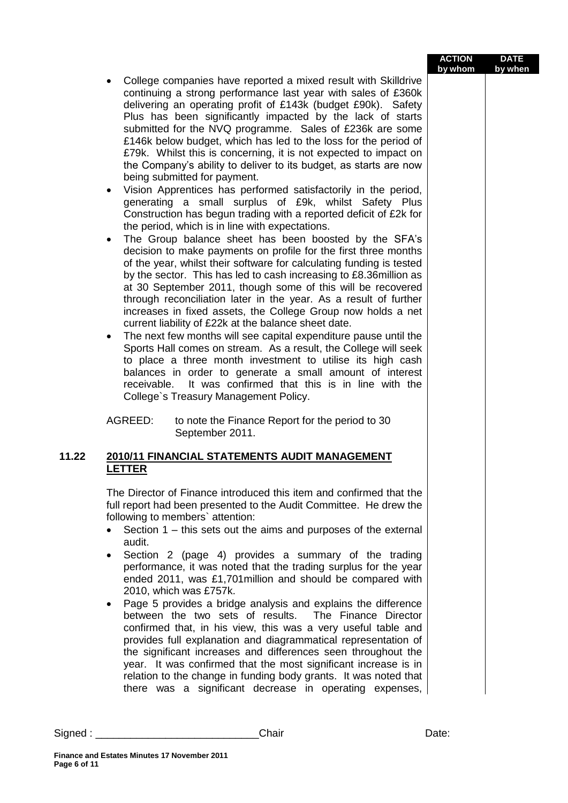|       |                                                                                                                                                                                                                                                                                                                                                                                                                                                                                                                                                                                                                                                                                                                                                                                                                                                                                                                                                                                                                                                                                                                                                                                                                                                                                                                                                                                                                                                                                                                                                                                                                                                                                                                                                                                              | <b>ACTION</b><br>by whom | <b>DATE</b><br>by when |
|-------|----------------------------------------------------------------------------------------------------------------------------------------------------------------------------------------------------------------------------------------------------------------------------------------------------------------------------------------------------------------------------------------------------------------------------------------------------------------------------------------------------------------------------------------------------------------------------------------------------------------------------------------------------------------------------------------------------------------------------------------------------------------------------------------------------------------------------------------------------------------------------------------------------------------------------------------------------------------------------------------------------------------------------------------------------------------------------------------------------------------------------------------------------------------------------------------------------------------------------------------------------------------------------------------------------------------------------------------------------------------------------------------------------------------------------------------------------------------------------------------------------------------------------------------------------------------------------------------------------------------------------------------------------------------------------------------------------------------------------------------------------------------------------------------------|--------------------------|------------------------|
|       | College companies have reported a mixed result with Skilldrive<br>$\bullet$<br>continuing a strong performance last year with sales of £360k<br>delivering an operating profit of £143k (budget £90k). Safety<br>Plus has been significantly impacted by the lack of starts<br>submitted for the NVQ programme. Sales of £236k are some<br>£146k below budget, which has led to the loss for the period of<br>£79k. Whilst this is concerning, it is not expected to impact on<br>the Company's ability to deliver to its budget, as starts are now<br>being submitted for payment.<br>Vision Apprentices has performed satisfactorily in the period,<br>$\bullet$<br>generating a small surplus of £9k, whilst Safety Plus<br>Construction has begun trading with a reported deficit of £2k for<br>the period, which is in line with expectations.<br>The Group balance sheet has been boosted by the SFA's<br>$\bullet$<br>decision to make payments on profile for the first three months<br>of the year, whilst their software for calculating funding is tested<br>by the sector. This has led to cash increasing to £8.36million as<br>at 30 September 2011, though some of this will be recovered<br>through reconciliation later in the year. As a result of further<br>increases in fixed assets, the College Group now holds a net<br>current liability of £22k at the balance sheet date.<br>The next few months will see capital expenditure pause until the<br>$\bullet$<br>Sports Hall comes on stream. As a result, the College will seek<br>to place a three month investment to utilise its high cash<br>balances in order to generate a small amount of interest<br>It was confirmed that this is in line with the<br>receivable.<br>College's Treasury Management Policy. |                          |                        |
|       | AGREED:<br>to note the Finance Report for the period to 30<br>September 2011.                                                                                                                                                                                                                                                                                                                                                                                                                                                                                                                                                                                                                                                                                                                                                                                                                                                                                                                                                                                                                                                                                                                                                                                                                                                                                                                                                                                                                                                                                                                                                                                                                                                                                                                |                          |                        |
| 11.22 | 2010/11 FINANCIAL STATEMENTS AUDIT MANAGEMENT<br><b>LETTER</b>                                                                                                                                                                                                                                                                                                                                                                                                                                                                                                                                                                                                                                                                                                                                                                                                                                                                                                                                                                                                                                                                                                                                                                                                                                                                                                                                                                                                                                                                                                                                                                                                                                                                                                                               |                          |                        |
|       | The Director of Finance introduced this item and confirmed that the<br>full report had been presented to the Audit Committee. He drew the<br>following to members' attention:<br>Section $1$ – this sets out the aims and purposes of the external<br>audit.<br>Section 2 (page 4) provides a summary of the trading<br>٠<br>performance, it was noted that the trading surplus for the year<br>ended 2011, was £1,701 million and should be compared with<br>2010, which was £757k.<br>Page 5 provides a bridge analysis and explains the difference<br>٠<br>between the two sets of results. The Finance Director<br>confirmed that, in his view, this was a very useful table and<br>provides full explanation and diagrammatical representation of<br>the significant increases and differences seen throughout the<br>year. It was confirmed that the most significant increase is in<br>relation to the change in funding body grants. It was noted that<br>there was a significant decrease in operating expenses,                                                                                                                                                                                                                                                                                                                                                                                                                                                                                                                                                                                                                                                                                                                                                                    |                          |                        |
|       | Signed : _______________________<br>Chair                                                                                                                                                                                                                                                                                                                                                                                                                                                                                                                                                                                                                                                                                                                                                                                                                                                                                                                                                                                                                                                                                                                                                                                                                                                                                                                                                                                                                                                                                                                                                                                                                                                                                                                                                    | Date:                    |                        |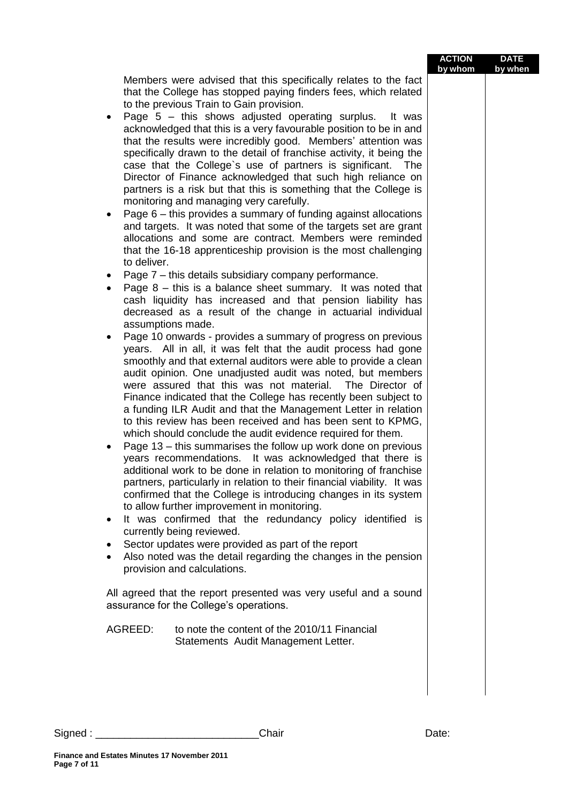| Members were advised that this specifically relates to the fact<br>that the College has stopped paying finders fees, which related<br>to the previous Train to Gain provision.<br>Page $5 -$ this shows adjusted operating surplus.<br>It was<br>٠<br>acknowledged that this is a very favourable position to be in and<br>that the results were incredibly good. Members' attention was<br>specifically drawn to the detail of franchise activity, it being the<br>case that the College's use of partners is significant. The<br>Director of Finance acknowledged that such high reliance on<br>partners is a risk but that this is something that the College is<br>monitoring and managing very carefully.<br>Page 6 – this provides a summary of funding against allocations<br>and targets. It was noted that some of the targets set are grant<br>allocations and some are contract. Members were reminded<br>that the 16-18 apprenticeship provision is the most challenging<br>to deliver.<br>Page 7 - this details subsidiary company performance.<br>٠<br>Page $8$ – this is a balance sheet summary. It was noted that<br>٠<br>cash liquidity has increased and that pension liability has<br>decreased as a result of the change in actuarial individual<br>assumptions made.<br>Page 10 onwards - provides a summary of progress on previous<br>٠<br>years. All in all, it was felt that the audit process had gone<br>smoothly and that external auditors were able to provide a clean<br>audit opinion. One unadjusted audit was noted, but members<br>were assured that this was not material. The Director of<br>Finance indicated that the College has recently been subject to<br>a funding ILR Audit and that the Management Letter in relation<br>to this review has been received and has been sent to KPMG,<br>which should conclude the audit evidence required for them.<br>Page 13 - this summarises the follow up work done on previous<br>years recommendations. It was acknowledged that there is<br>additional work to be done in relation to monitoring of franchise<br>partners, particularly in relation to their financial viability. It was<br>confirmed that the College is introducing changes in its system<br>to allow further improvement in monitoring.<br>It was confirmed that the redundancy policy identified is<br>currently being reviewed.<br>Sector updates were provided as part of the report<br>٠<br>Also noted was the detail regarding the changes in the pension<br>٠<br>provision and calculations.<br>All agreed that the report presented was very useful and a sound<br>assurance for the College's operations.<br>AGREED:<br>to note the content of the 2010/11 Financial<br>Statements Audit Management Letter. |  | <b>ACTION</b><br>by whom | <b>DATE</b><br>by when |
|-------------------------------------------------------------------------------------------------------------------------------------------------------------------------------------------------------------------------------------------------------------------------------------------------------------------------------------------------------------------------------------------------------------------------------------------------------------------------------------------------------------------------------------------------------------------------------------------------------------------------------------------------------------------------------------------------------------------------------------------------------------------------------------------------------------------------------------------------------------------------------------------------------------------------------------------------------------------------------------------------------------------------------------------------------------------------------------------------------------------------------------------------------------------------------------------------------------------------------------------------------------------------------------------------------------------------------------------------------------------------------------------------------------------------------------------------------------------------------------------------------------------------------------------------------------------------------------------------------------------------------------------------------------------------------------------------------------------------------------------------------------------------------------------------------------------------------------------------------------------------------------------------------------------------------------------------------------------------------------------------------------------------------------------------------------------------------------------------------------------------------------------------------------------------------------------------------------------------------------------------------------------------------------------------------------------------------------------------------------------------------------------------------------------------------------------------------------------------------------------------------------------------------------------------------------------------------------------------------------------------------------------------------------------------------------------------------------------------------------------------------------------------------|--|--------------------------|------------------------|
|                                                                                                                                                                                                                                                                                                                                                                                                                                                                                                                                                                                                                                                                                                                                                                                                                                                                                                                                                                                                                                                                                                                                                                                                                                                                                                                                                                                                                                                                                                                                                                                                                                                                                                                                                                                                                                                                                                                                                                                                                                                                                                                                                                                                                                                                                                                                                                                                                                                                                                                                                                                                                                                                                                                                                                               |  |                          |                        |
|                                                                                                                                                                                                                                                                                                                                                                                                                                                                                                                                                                                                                                                                                                                                                                                                                                                                                                                                                                                                                                                                                                                                                                                                                                                                                                                                                                                                                                                                                                                                                                                                                                                                                                                                                                                                                                                                                                                                                                                                                                                                                                                                                                                                                                                                                                                                                                                                                                                                                                                                                                                                                                                                                                                                                                               |  |                          |                        |
|                                                                                                                                                                                                                                                                                                                                                                                                                                                                                                                                                                                                                                                                                                                                                                                                                                                                                                                                                                                                                                                                                                                                                                                                                                                                                                                                                                                                                                                                                                                                                                                                                                                                                                                                                                                                                                                                                                                                                                                                                                                                                                                                                                                                                                                                                                                                                                                                                                                                                                                                                                                                                                                                                                                                                                               |  |                          |                        |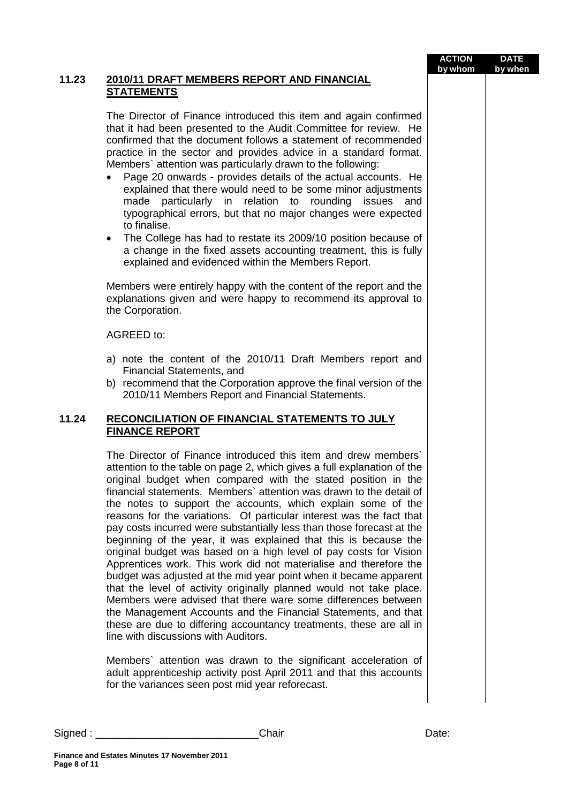| <u>:IAL</u>                                                                                                                                    | <b>ACTION</b><br>by whom | <b>DATE</b><br>by when |
|------------------------------------------------------------------------------------------------------------------------------------------------|--------------------------|------------------------|
| gain confirmed<br>for review. He<br>recommended<br>andard format.<br>owing:<br>l accounts. He<br>or adjustments<br>issues and<br>were expected |                          |                        |
| tion because of<br>ent, this is fully<br>port.                                                                                                 |                          |                        |
| report and the<br>its approval to                                                                                                              |                          |                        |
| ers report and                                                                                                                                 |                          |                        |
| al version of the<br>าts.                                                                                                                      |                          |                        |
| <u>TO JULY</u>                                                                                                                                 |                          |                        |
| frew members                                                                                                                                   |                          |                        |

### 11.23 **2010/11 DRAFT MEMBERS REPORT AND FINANC STATEMENTS**

The Director of Finance introduced this item and a that it had been presented to the Audit Committee confirmed that the document follows a statement of practice in the sector and provides advice in a standard format. Members` attention was particularly drawn to the follo

- Page 20 onwards provides details of the actual explained that there would need to be some minor made particularly in relation to rounding typographical errors, but that no major changes to finalise.
- The College has had to restate its 2009/10 position a change in the fixed assets accounting treatme explained and evidenced within the Members Rep

Members were entirely happy with the content of the explanations given and were happy to recommend the Corporation.

### AGREED to:

- a) note the content of the 2010/11 Draft Member Financial Statements, and
- b) recommend that the Corporation approve the final 2010/11 Members Report and Financial Statemen

## **11.24 RECONCILIATION OF FINANCIAL STATEMENTS FINANCE REPORT**

The Director of Finance introduced this item and d attention to the table on page 2, which gives a full explanation of the original budget when compared with the stated position in the financial statements. Members` attention was drawn to the detail of the notes to support the accounts, which explain some of the reasons for the variations. Of particular interest was the fact that pay costs incurred were substantially less than those forecast at the beginning of the year, it was explained that this is because the original budget was based on a high level of pay costs for Vision Apprentices work. This work did not materialise and therefore the budget was adjusted at the mid year point when it became apparent that the level of activity originally planned would not take place. Members were advised that there ware some differences between the Management Accounts and the Financial Statements, and that these are due to differing accountancy treatments, these are all in line with discussions with Auditors.

Members` attention was drawn to the significant acceleration of adult apprenticeship activity post April 2011 and that this accounts for the variances seen post mid year reforecast.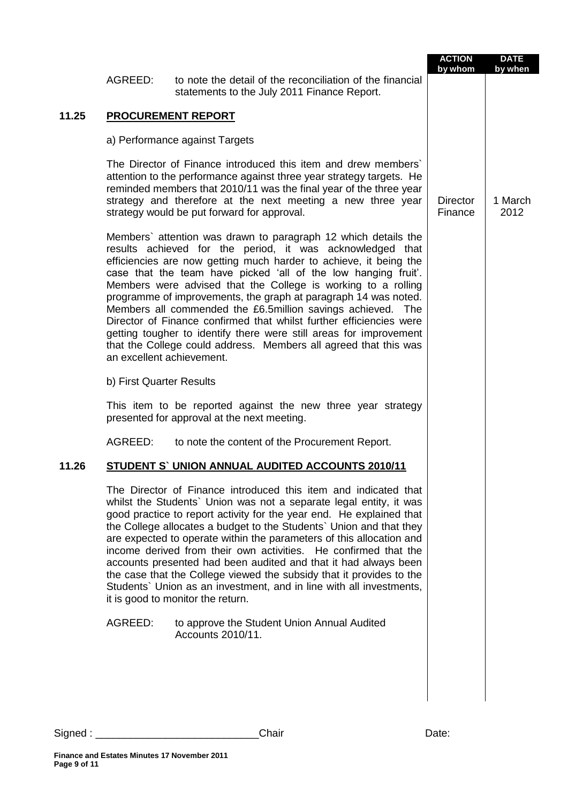|       |                           |                                                                                                                                                                                                                                                                                                                                                                                                                                                                                                                                                                                                                                                                                         | <b>ACTION</b><br>by whom   | <b>DATE</b><br>by when |
|-------|---------------------------|-----------------------------------------------------------------------------------------------------------------------------------------------------------------------------------------------------------------------------------------------------------------------------------------------------------------------------------------------------------------------------------------------------------------------------------------------------------------------------------------------------------------------------------------------------------------------------------------------------------------------------------------------------------------------------------------|----------------------------|------------------------|
|       | AGREED:                   | to note the detail of the reconciliation of the financial<br>statements to the July 2011 Finance Report.                                                                                                                                                                                                                                                                                                                                                                                                                                                                                                                                                                                |                            |                        |
| 11.25 |                           | <b>PROCUREMENT REPORT</b>                                                                                                                                                                                                                                                                                                                                                                                                                                                                                                                                                                                                                                                               |                            |                        |
|       |                           | a) Performance against Targets                                                                                                                                                                                                                                                                                                                                                                                                                                                                                                                                                                                                                                                          |                            |                        |
|       |                           | The Director of Finance introduced this item and drew members<br>attention to the performance against three year strategy targets. He<br>reminded members that 2010/11 was the final year of the three year<br>strategy and therefore at the next meeting a new three year<br>strategy would be put forward for approval.                                                                                                                                                                                                                                                                                                                                                               | <b>Director</b><br>Finance | 1 March<br>2012        |
|       | an excellent achievement. | Members' attention was drawn to paragraph 12 which details the<br>results achieved for the period, it was acknowledged that<br>efficiencies are now getting much harder to achieve, it being the<br>case that the team have picked 'all of the low hanging fruit'.<br>Members were advised that the College is working to a rolling<br>programme of improvements, the graph at paragraph 14 was noted.<br>Members all commended the £6.5 million savings achieved. The<br>Director of Finance confirmed that whilst further efficiencies were<br>getting tougher to identify there were still areas for improvement<br>that the College could address. Members all agreed that this was |                            |                        |
|       | b) First Quarter Results  |                                                                                                                                                                                                                                                                                                                                                                                                                                                                                                                                                                                                                                                                                         |                            |                        |
|       |                           | This item to be reported against the new three year strategy<br>presented for approval at the next meeting.                                                                                                                                                                                                                                                                                                                                                                                                                                                                                                                                                                             |                            |                        |
|       | AGREED:                   | to note the content of the Procurement Report.                                                                                                                                                                                                                                                                                                                                                                                                                                                                                                                                                                                                                                          |                            |                        |
| 11.26 |                           | STUDENT S' UNION ANNUAL AUDITED ACCOUNTS 2010/11                                                                                                                                                                                                                                                                                                                                                                                                                                                                                                                                                                                                                                        |                            |                        |
|       |                           | The Director of Finance introduced this item and indicated that<br>whilst the Students' Union was not a separate legal entity, it was<br>good practice to report activity for the year end. He explained that<br>the College allocates a budget to the Students' Union and that they<br>are expected to operate within the parameters of this allocation and<br>income derived from their own activities. He confirmed that the<br>accounts presented had been audited and that it had always been<br>the case that the College viewed the subsidy that it provides to the<br>Students' Union as an investment, and in line with all investments,<br>it is good to monitor the return.  |                            |                        |
|       | AGREED:                   | to approve the Student Union Annual Audited                                                                                                                                                                                                                                                                                                                                                                                                                                                                                                                                                                                                                                             |                            |                        |
|       |                           | Accounts 2010/11.                                                                                                                                                                                                                                                                                                                                                                                                                                                                                                                                                                                                                                                                       |                            |                        |
|       |                           |                                                                                                                                                                                                                                                                                                                                                                                                                                                                                                                                                                                                                                                                                         |                            |                        |
|       |                           |                                                                                                                                                                                                                                                                                                                                                                                                                                                                                                                                                                                                                                                                                         |                            |                        |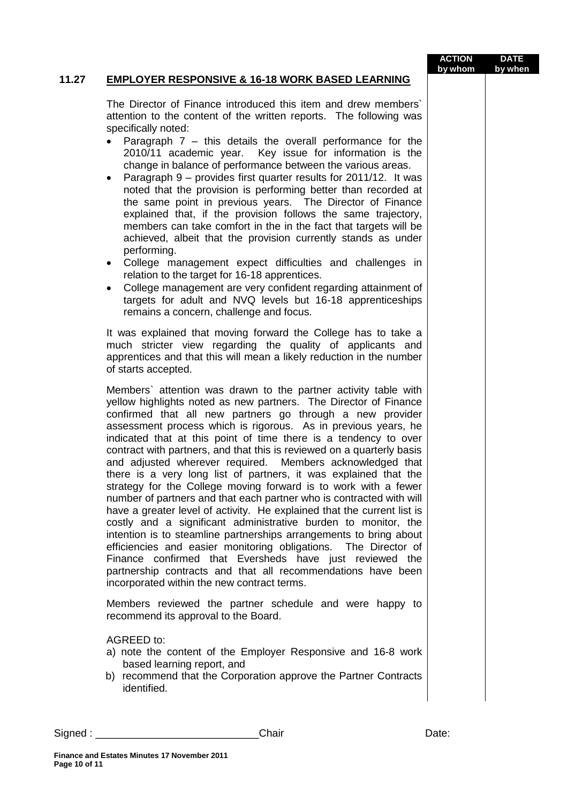#### **ACTION by whom DATE by when**

## **11.27 EMPLOYER RESPONSIVE & 16-18 WORK BASED LEARNING**

The Director of Finance introduced this item and drew members` attention to the content of the written reports. The following was specifically noted:

- Paragraph 7 this details the overall performance for the 2010/11 academic year. Key issue for information is the change in balance of performance between the various areas.
- Paragraph 9 provides first quarter results for 2011/12. It was noted that the provision is performing better than recorded at the same point in previous years. The Director of Finance explained that, if the provision follows the same trajectory, members can take comfort in the in the fact that targets will be achieved, albeit that the provision currently stands as under performing.
- College management expect difficulties and challenges in relation to the target for 16-18 apprentices.
- College management are very confident regarding attainment of targets for adult and NVQ levels but 16-18 apprenticeships remains a concern, challenge and focus.

It was explained that moving forward the College has to take a much stricter view regarding the quality of applicants and apprentices and that this will mean a likely reduction in the number of starts accepted.

Members` attention was drawn to the partner activity table with yellow highlights noted as new partners. The Director of Finance confirmed that all new partners go through a new provider assessment process which is rigorous. As in previous years, he indicated that at this point of time there is a tendency to over contract with partners, and that this is reviewed on a quarterly basis and adjusted wherever required. Members acknowledged that there is a very long list of partners, it was explained that the strategy for the College moving forward is to work with a fewer number of partners and that each partner who is contracted with will have a greater level of activity. He explained that the current list is costly and a significant administrative burden to monitor, the intention is to steamline partnerships arrangements to bring about efficiencies and easier monitoring obligations. The Director of Finance confirmed that Eversheds have just reviewed the partnership contracts and that all recommendations have been incorporated within the new contract terms.

Members reviewed the partner schedule and were happy to recommend its approval to the Board.

AGREED to:

- a) note the content of the Employer Responsive and 16-8 work based learning report, and
- b) recommend that the Corporation approve the Partner Contracts identified.

Signed : \_\_\_\_\_\_\_\_\_\_\_\_\_\_\_\_\_\_\_\_\_\_\_\_\_\_\_\_Chair Date: